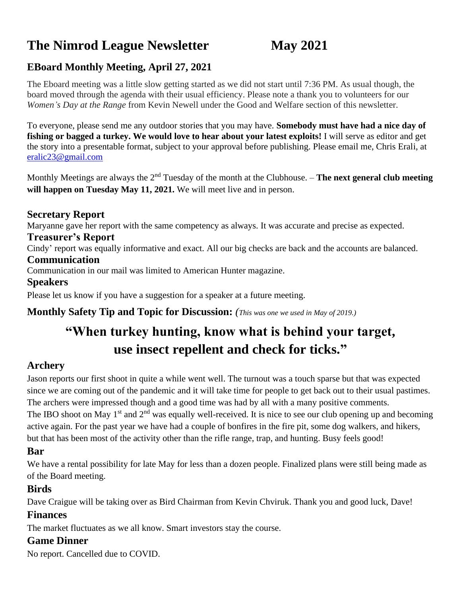# **The Nimrod League Newsletter May 2021**

# **EBoard Monthly Meeting, April 27, 2021**

The Eboard meeting was a little slow getting started as we did not start until 7:36 PM. As usual though, the board moved through the agenda with their usual efficiency. Please note a thank you to volunteers for our *Women's Day at the Range* from Kevin Newell under the Good and Welfare section of this newsletter.

To everyone, please send me any outdoor stories that you may have. **Somebody must have had a nice day of fishing or bagged a turkey. We would love to hear about your latest exploits!** I will serve as editor and get the story into a presentable format, subject to your approval before publishing. Please email me, Chris Erali, at [eralic23@gmail.com](mailto:eralic23@gmail.com)

Monthly Meetings are always the 2nd Tuesday of the month at the Clubhouse. – **The next general club meeting** will happen on Tuesday May 11, 2021. We will meet live and in person.

### **Secretary Report**

Maryanne gave her report with the same competency as always. It was accurate and precise as expected.

#### **Treasurer's Report**

Cindy' report was equally informative and exact. All our big checks are back and the accounts are balanced.

#### **Communication**

Communication in our mail was limited to American Hunter magazine.

#### **Speakers**

Please let us know if you have a suggestion for a speaker at a future meeting.

**Monthly Safety Tip and Topic for Discussion:** *(This was one we used in May of 2019.)*

# **"When turkey hunting, know what is behind your target, use insect repellent and check for ticks."**

# **Archery**

Jason reports our first shoot in quite a while went well. The turnout was a touch sparse but that was expected since we are coming out of the pandemic and it will take time for people to get back out to their usual pastimes. The archers were impressed though and a good time was had by all with a many positive comments. The IBO shoot on May 1<sup>st</sup> and 2<sup>nd</sup> was equally well-received. It is nice to see our club opening up and becoming active again. For the past year we have had a couple of bonfires in the fire pit, some dog walkers, and hikers, but that has been most of the activity other than the rifle range, trap, and hunting. Busy feels good!

#### **Bar**

We have a rental possibility for late May for less than a dozen people. Finalized plans were still being made as of the Board meeting.

#### **Birds**

Dave Craigue will be taking over as Bird Chairman from Kevin Chviruk. Thank you and good luck, Dave!

### **Finances**

The market fluctuates as we all know. Smart investors stay the course.

### **Game Dinner**

No report. Cancelled due to COVID.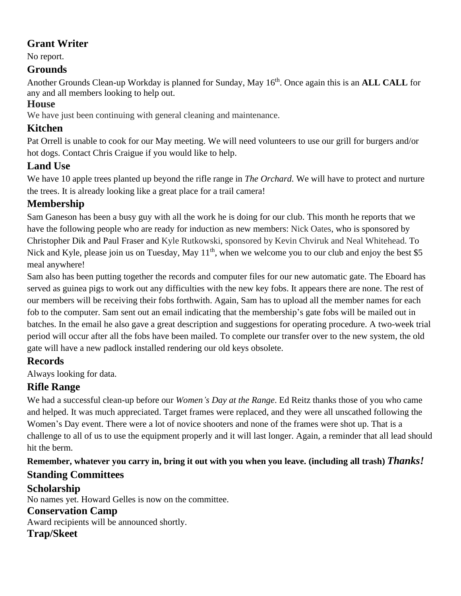# **Grant Writer**

No report.

# **Grounds**

Another Grounds Clean-up Workday is planned for Sunday, May 16<sup>th</sup>. Once again this is an **ALL CALL** for any and all members looking to help out.

## **House**

We have just been continuing with general cleaning and maintenance.

# **Kitchen**

Pat Orrell is unable to cook for our May meeting. We will need volunteers to use our grill for burgers and/or hot dogs. Contact Chris Craigue if you would like to help.

# **Land Use**

We have 10 apple trees planted up beyond the rifle range in *The Orchard*. We will have to protect and nurture the trees. It is already looking like a great place for a trail camera!

# **Membership**

Sam Ganeson has been a busy guy with all the work he is doing for our club. This month he reports that we have the following people who are ready for induction as new members: Nick Oates, who is sponsored by Christopher Dik and Paul Fraser and Kyle Rutkowski, sponsored by Kevin Chviruk and Neal Whitehead. To Nick and Kyle, please join us on Tuesday, May 11<sup>th</sup>, when we welcome you to our club and enjoy the best \$5 meal anywhere!

Sam also has been putting together the records and computer files for our new automatic gate. The Eboard has served as guinea pigs to work out any difficulties with the new key fobs. It appears there are none. The rest of our members will be receiving their fobs forthwith. Again, Sam has to upload all the member names for each fob to the computer. Sam sent out an email indicating that the membership's gate fobs will be mailed out in batches. In the email he also gave a great description and suggestions for operating procedure. A two-week trial period will occur after all the fobs have been mailed. To complete our transfer over to the new system, the old gate will have a new padlock installed rendering our old keys obsolete.

# **Records**

Always looking for data.

# **Rifle Range**

We had a successful clean-up before our *Women's Day at the Range*. Ed Reitz thanks those of you who came and helped. It was much appreciated. Target frames were replaced, and they were all unscathed following the Women's Day event. There were a lot of novice shooters and none of the frames were shot up. That is a challenge to all of us to use the equipment properly and it will last longer. Again, a reminder that all lead should hit the berm.

**Remember, whatever you carry in, bring it out with you when you leave. (including all trash)** *Thanks!* **Standing Committees**

# **Scholarship**

No names yet. Howard Gelles is now on the committee.

### **Conservation Camp**

Award recipients will be announced shortly.

# **Trap/Skeet**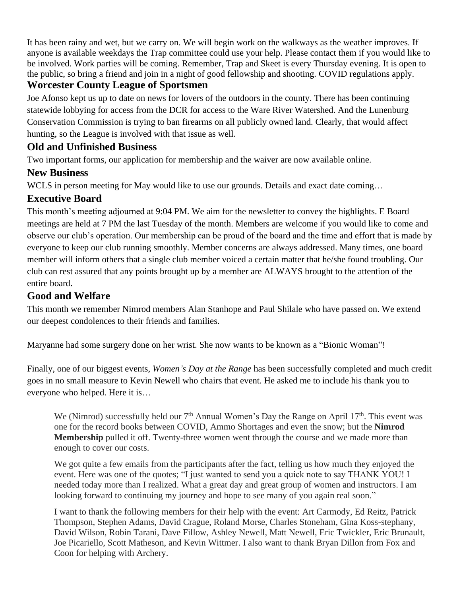It has been rainy and wet, but we carry on. We will begin work on the walkways as the weather improves. If anyone is available weekdays the Trap committee could use your help. Please contact them if you would like to be involved. Work parties will be coming. Remember, Trap and Skeet is every Thursday evening. It is open to the public, so bring a friend and join in a night of good fellowship and shooting. COVID regulations apply.

## **Worcester County League of Sportsmen**

Joe Afonso kept us up to date on news for lovers of the outdoors in the county. There has been continuing statewide lobbying for access from the DCR for access to the Ware River Watershed. And the Lunenburg Conservation Commission is trying to ban firearms on all publicly owned land. Clearly, that would affect hunting, so the League is involved with that issue as well.

## **Old and Unfinished Business**

Two important forms, our application for membership and the waiver are now available online.

## **New Business**

WCLS in person meeting for May would like to use our grounds. Details and exact date coming...

# **Executive Board**

This month's meeting adjourned at 9:04 PM. We aim for the newsletter to convey the highlights. E Board meetings are held at 7 PM the last Tuesday of the month. Members are welcome if you would like to come and observe our club's operation. Our membership can be proud of the board and the time and effort that is made by everyone to keep our club running smoothly. Member concerns are always addressed. Many times, one board member will inform others that a single club member voiced a certain matter that he/she found troubling. Our club can rest assured that any points brought up by a member are ALWAYS brought to the attention of the entire board.

## **Good and Welfare**

This month we remember Nimrod members Alan Stanhope and Paul Shilale who have passed on. We extend our deepest condolences to their friends and families.

Maryanne had some surgery done on her wrist. She now wants to be known as a "Bionic Woman"!

Finally, one of our biggest events, *Women's Day at the Range* has been successfully completed and much credit goes in no small measure to Kevin Newell who chairs that event. He asked me to include his thank you to everyone who helped. Here it is…

We (Nimrod) successfully held our  $7<sup>th</sup>$  Annual Women's Day the Range on April 17<sup>th</sup>. This event was one for the record books between COVID, Ammo Shortages and even the snow; but the **Nimrod Membership** pulled it off. Twenty-three women went through the course and we made more than enough to cover our costs.

We got quite a few emails from the participants after the fact, telling us how much they enjoyed the event. Here was one of the quotes; "I just wanted to send you a quick note to say THANK YOU! I needed today more than I realized. What a great day and great group of women and instructors. I am looking forward to continuing my journey and hope to see many of you again real soon."

I want to thank the following members for their help with the event: Art Carmody, Ed Reitz, Patrick Thompson, Stephen Adams, David Crague, Roland Morse, Charles Stoneham, Gina Koss-stephany, David Wilson, Robin Tarani, Dave Fillow, Ashley Newell, Matt Newell, Eric Twickler, Eric Brunault, Joe Picariello, Scott Matheson, and Kevin Wittmer. I also want to thank Bryan Dillon from Fox and Coon for helping with Archery.